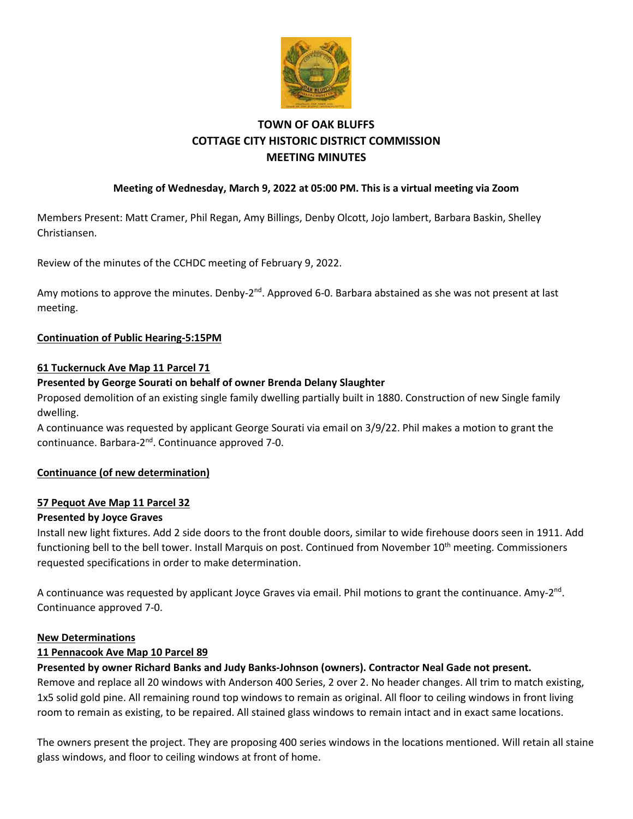

# **TOWN OF OAK BLUFFS COTTAGE CITY HISTORIC DISTRICT COMMISSION MEETING MINUTES**

### **Meeting of Wednesday, March 9, 2022 at 05:00 PM. This is a virtual meeting via Zoom**

Members Present: Matt Cramer, Phil Regan, Amy Billings, Denby Olcott, Jojo lambert, Barbara Baskin, Shelley Christiansen.

Review of the minutes of the CCHDC meeting of February 9, 2022.

Amy motions to approve the minutes. Denby-2<sup>nd</sup>. Approved 6-0. Barbara abstained as she was not present at last meeting.

### **Continuation of Public Hearing-5:15PM**

### **61 Tuckernuck Ave Map 11 Parcel 71**

### **Presented by George Sourati on behalf of owner Brenda Delany Slaughter**

Proposed demolition of an existing single family dwelling partially built in 1880. Construction of new Single family dwelling.

A continuance was requested by applicant George Sourati via email on 3/9/22. Phil makes a motion to grant the continuance. Barbara-2<sup>nd</sup>. Continuance approved 7-0.

### **Continuance (of new determination)**

### **57 Pequot Ave Map 11 Parcel 32**

### **Presented by Joyce Graves**

Install new light fixtures. Add 2 side doors to the front double doors, similar to wide firehouse doors seen in 1911. Add functioning bell to the bell tower. Install Marquis on post. Continued from November 10<sup>th</sup> meeting. Commissioners requested specifications in order to make determination.

A continuance was requested by applicant Joyce Graves via email. Phil motions to grant the continuance. Amy- $2^{nd}$ . Continuance approved 7-0.

#### **New Determinations**

### **11 Pennacook Ave Map 10 Parcel 89**

### **Presented by owner Richard Banks and Judy Banks-Johnson (owners). Contractor Neal Gade not present.**

Remove and replace all 20 windows with Anderson 400 Series, 2 over 2. No header changes. All trim to match existing, 1x5 solid gold pine. All remaining round top windows to remain as original. All floor to ceiling windows in front living room to remain as existing, to be repaired. All stained glass windows to remain intact and in exact same locations.

The owners present the project. They are proposing 400 series windows in the locations mentioned. Will retain all staine glass windows, and floor to ceiling windows at front of home.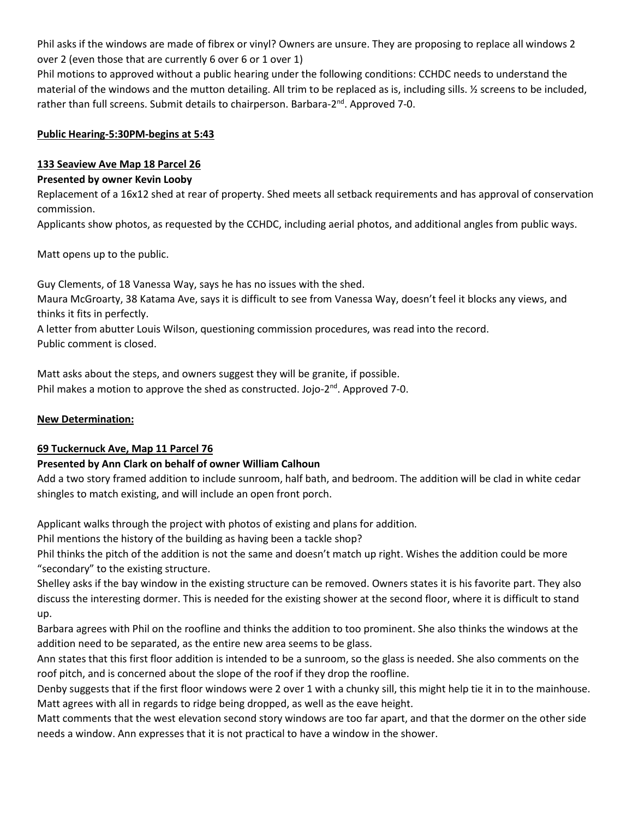Phil asks if the windows are made of fibrex or vinyl? Owners are unsure. They are proposing to replace all windows 2 over 2 (even those that are currently 6 over 6 or 1 over 1)

Phil motions to approved without a public hearing under the following conditions: CCHDC needs to understand the material of the windows and the mutton detailing. All trim to be replaced as is, including sills. ½ screens to be included, rather than full screens. Submit details to chairperson. Barbara- $2<sup>nd</sup>$ . Approved 7-0.

### **Public Hearing-5:30PM-begins at 5:43**

### **133 Seaview Ave Map 18 Parcel 26**

### **Presented by owner Kevin Looby**

Replacement of a 16x12 shed at rear of property. Shed meets all setback requirements and has approval of conservation commission.

Applicants show photos, as requested by the CCHDC, including aerial photos, and additional angles from public ways.

Matt opens up to the public.

Guy Clements, of 18 Vanessa Way, says he has no issues with the shed. Maura McGroarty, 38 Katama Ave, says it is difficult to see from Vanessa Way, doesn't feel it blocks any views, and

thinks it fits in perfectly.

A letter from abutter Louis Wilson, questioning commission procedures, was read into the record. Public comment is closed.

Matt asks about the steps, and owners suggest they will be granite, if possible. Phil makes a motion to approve the shed as constructed. Jojo- $2<sup>nd</sup>$ . Approved 7-0.

### **New Determination:**

## **69 Tuckernuck Ave, Map 11 Parcel 76**

## **Presented by Ann Clark on behalf of owner William Calhoun**

Add a two story framed addition to include sunroom, half bath, and bedroom. The addition will be clad in white cedar shingles to match existing, and will include an open front porch.

Applicant walks through the project with photos of existing and plans for addition.

Phil mentions the history of the building as having been a tackle shop?

Phil thinks the pitch of the addition is not the same and doesn't match up right. Wishes the addition could be more "secondary" to the existing structure.

Shelley asks if the bay window in the existing structure can be removed. Owners states it is his favorite part. They also discuss the interesting dormer. This is needed for the existing shower at the second floor, where it is difficult to stand up.

Barbara agrees with Phil on the roofline and thinks the addition to too prominent. She also thinks the windows at the addition need to be separated, as the entire new area seems to be glass.

Ann states that this first floor addition is intended to be a sunroom, so the glass is needed. She also comments on the roof pitch, and is concerned about the slope of the roof if they drop the roofline.

Denby suggests that if the first floor windows were 2 over 1 with a chunky sill, this might help tie it in to the mainhouse. Matt agrees with all in regards to ridge being dropped, as well as the eave height.

Matt comments that the west elevation second story windows are too far apart, and that the dormer on the other side needs a window. Ann expresses that it is not practical to have a window in the shower.